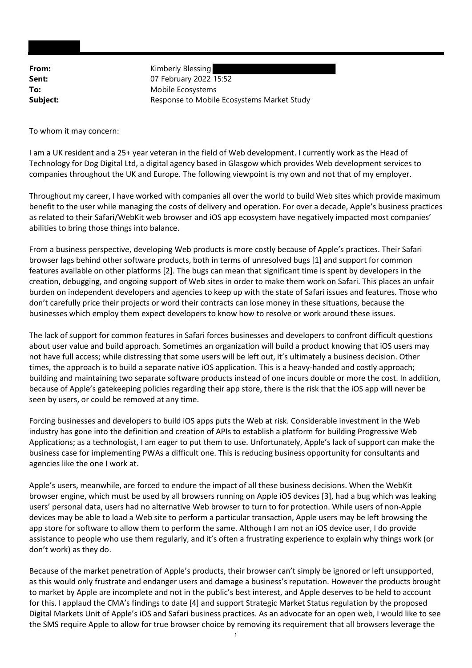From: Kimberly Blessing **Sent:** 07 February 2022 15:52 To: Mobile Ecosystems **Subject:** Response to Mobile Ecosystems Market Study

To whom it may concern:

I am a UK resident and a 25+ year veteran in the field of Web development. I currently work as the Head of Technology for Dog Digital Ltd, a digital agency based in Glasgow which provides Web development services to companies throughout the UK and Europe. The following viewpoint is my own and not that of my employer.

Throughout my career, I have worked with companies all over the world to build Web sites which provide maximum benefit to the user while managing the costs of delivery and operation. For over a decade, Apple's business practices as related to their Safari/WebKit web browser and iOS app ecosystem have negatively impacted most companies' abilities to bring those things into balance.

From a business perspective, developing Web products is more costly because of Apple's practices. Their Safari browser lags behind other software products, both in terms of unresolved bugs [1] and support for common features available on other platforms [2]. The bugs can mean that significant time is spent by developers in the creation, debugging, and ongoing support of Web sites in order to make them work on Safari. This places an unfair burden on independent developers and agencies to keep up with the state of Safari issues and features. Those who don't carefully price their projects or word their contracts can lose money in these situations, because the businesses which employ them expect developers to know how to resolve or work around these issues.

The lack of support for common features in Safari forces businesses and developers to confront difficult questions about user value and build approach. Sometimes an organization will build a product knowing that iOS users may not have full access; while distressing that some users will be left out, it's ultimately a business decision. Other times, the approach is to build a separate native iOS application. This is a heavy-handed and costly approach; building and maintaining two separate software products instead of one incurs double or more the cost. In addition, because of Apple's gatekeeping policies regarding their app store, there is the risk that the iOS app will never be seen by users, or could be removed at any time.

Forcing businesses and developers to build iOS apps puts the Web at risk. Considerable investment in the Web industry has gone into the definition and creation of APIs to establish a platform for building Progressive Web Applications; as a technologist, I am eager to put them to use. Unfortunately, Apple's lack of support can make the business case for implementing PWAs a difficult one. This is reducing business opportunity for consultants and agencies like the one I work at.

Apple's users, meanwhile, are forced to endure the impact of all these business decisions. When the WebKit browser engine, which must be used by all browsers running on Apple iOS devices [3], had a bug which was leaking users' personal data, users had no alternative Web browser to turn to for protection. While users of non-Apple devices may be able to load a Web site to perform a particular transaction, Apple users may be left browsing the app store for software to allow them to perform the same. Although I am not an iOS device user, I do provide assistance to people who use them regularly, and it's often a frustrating experience to explain why things work (or don't work) as they do.

Because of the market penetration of Apple's products, their browser can't simply be ignored or left unsupported, as this would only frustrate and endanger users and damage a business's reputation. However the products brought to market by Apple are incomplete and not in the public's best interest, and Apple deserves to be held to account for this. I applaud the CMA's findings to date [4] and support Strategic Market Status regulation by the proposed Digital Markets Unit of Apple's iOS and Safari business practices. As an advocate for an open web, I would like to see the SMS require Apple to allow for true browser choice by removing its requirement that all browsers leverage the